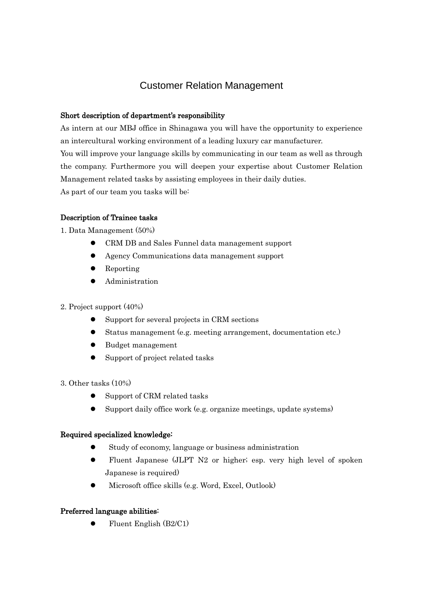# Customer Relation Management

### Short description of department's responsibility

As intern at our MBJ office in Shinagawa you will have the opportunity to experience an intercultural working environment of a leading luxury car manufacturer. You will improve your language skills by communicating in our team as well as through the company. Furthermore you will deepen your expertise about Customer Relation Management related tasks by assisting employees in their daily duties. As part of our team you tasks will be:

## Description of Trainee tasks

1. Data Management (50%)

- CRM DB and Sales Funnel data management support
- Agency Communications data management support
- Reporting
- Administration

#### 2. Project support (40%)

- Support for several projects in CRM sections
- Status management (e.g. meeting arrangement, documentation etc.)
- Budget management
- Support of project related tasks
- 3. Other tasks (10%)
	- Support of CRM related tasks
	- Support daily office work (e.g. organize meetings, update systems)

#### Required specialized knowledge:

- Study of economy, language or business administration
- Fluent Japanese (JLPT N2 or higher; esp. very high level of spoken Japanese is required)
- Microsoft office skills (e.g. Word, Excel, Outlook)

#### Preferred language abilities:

 $\bullet$  Fluent English (B2/C1)